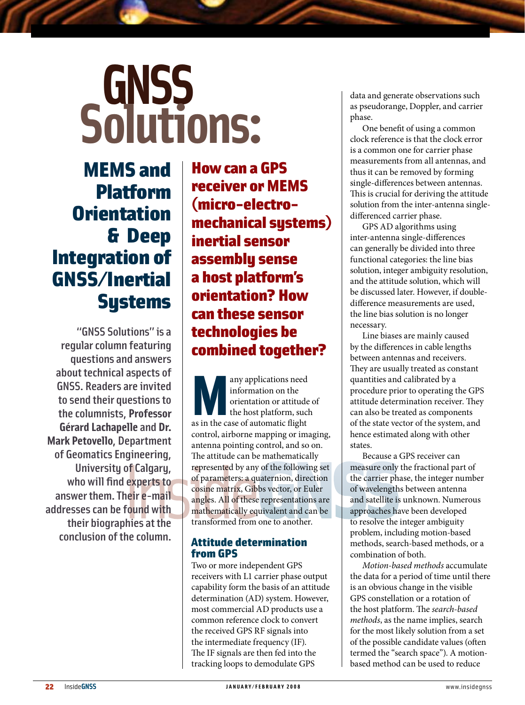# GNSS<br>Solutions:

## MEMS and Platform **Orientation** & Deep Integration of GNSS/Inertial **Systems**

"GNSS Solutions" is a regular column featuring questions and answers about technical aspects of GNSS. Readers are invited to send their questions to the columnists, **Professor Gérard Lachapelle** and **Dr. Mark Petovello**, Department of Geomatics Engineering, University of Calgary, who will find experts to answer them. Their e-mail addresses can be found with their biographies at the conclusion of the column.

Howcan a GPS receiver or MEMS (micro-electromechanical systems) inertial sensor assembly sense a host platform's orientation? How can these sensor technologies be combined together?

any applications need<br>
information or attitude<br>
the host platform, such<br>
as in the case of automatic flight information on the orientation or attitude of the host platform, such control, airborne mapping or imaging, antenna pointing control, and so on. The attitude can be mathematically represented by any of the following set of parameters: a quaternion, direction cosine matrix, Gibbs vector, or Euler angles. All of these representations are mathematically equivalent and can be transformed from one to another.

### Attitude determination fromGPS

Two or more independent GPS receivers with L1 carrier phase output capability form the basis of an attitude determination (AD) system. However, most commercial AD products use a common reference clock to convert the received GPS RF signals into the intermediate frequency (IF). The IF signals are then fed into the tracking loops to demodulate GPS

data and generate observations such as pseudorange, Doppler, and carrier phase.

One benefit of using a common clock reference is that the clock error is a common one for carrier phase measurements from all antennas, and thus it can be removed by forming single-differences between antennas. This is crucial for deriving the attitude solution from the inter-antenna singledifferenced carrier phase.

GPS AD algorithms using inter-antenna single-differences can generally be divided into three functional categories: the line bias solution, integer ambiguity resolution, and the attitude solution, which will be discussed later. However, if doubledifference measurements are used, the line bias solution is no longer necessary.

Line biases are mainly caused by the differences in cable lengths between antennas and receivers. They are usually treated as constant quantities and calibrated by a procedure prior to operating the GPS attitude determination receiver. They can also be treated as components of the state vector of the system, and hence estimated along with other states.

Because a GPS receiver can measure only the fractional part of the carrier phase, the integer number of wavelengths between antenna and satellite is unknown. Numerous approaches have been developed to resolve the integer ambiguity problem, including motion-based methods, search-based methods, or a combination of both.

*Motion-based methods* accumulate the data for a period of time until there is an obvious change in the visible GPS constellation or a rotation of the host platform. The *search-based methods*, as the name implies, search for the most likely solution from a set of the possible candidate values (often termed the "search space"). A motionbased method can be used to reduce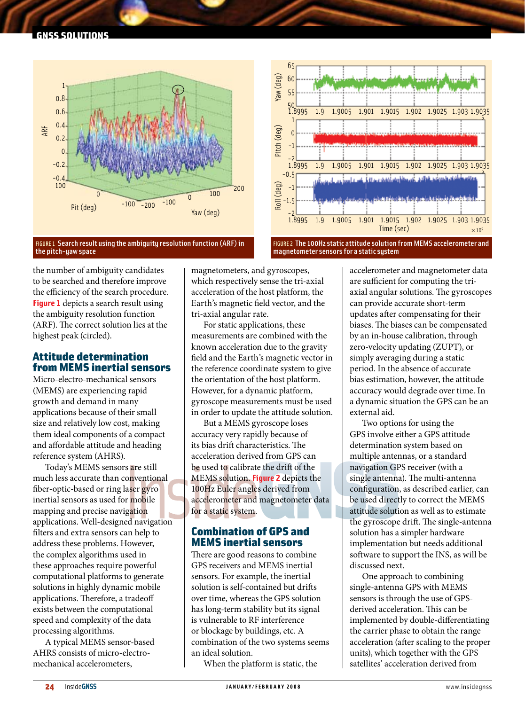

#### FIGURE 1 Search result using the ambiguity resolution function (ARF) in the pitch-yaw space



FIGURE 2 The 100Hz static attitude solution from MEMS accelerometer and magnetometer sensors for a static system

the number of ambiguity candidates to be searched and therefore improve the efficiency of the search procedure. **Figure 1** depicts a search result using the ambiguity resolution function (ARF). The correct solution lies at the highest peak (circled).

### Attitude determination from **MEMS** inertial sensors

Micro-electro-mechanical sensors (MEMS) are experiencing rapid growth and demand in many applications because of their small size and relatively low cost, making them ideal components of a compact and affordable attitude and heading reference system (AHRS).

Today's MEMS sensors are still much less accurate than conventional fiber-optic-based or ring laser gyro inertial sensors as used for mobile mapping and precise navigation applications. Well-designed navigation filters and extra sensors can help to address these problems. However, the complex algorithms used in these approaches require powerful computational platforms to generate solutions in highly dynamic mobile applications. Therefore, a tradeoff exists between the computational speed and complexity of the data processing algorithms.

A typical MEMS sensor-based AHRS consists of micro-electromechanical accelerometers,

magnetometers, and gyroscopes, which respectively sense the tri-axial acceleration of the host platform, the Earth's magnetic field vector, and the tri-axial angular rate.

For static applications, these measurements are combined with the known acceleration due to the gravity field and the Earth's magnetic vector in the reference coordinate system to give the orientation of the host platform. However, for a dynamic platform, gyroscope measurements must be used in order to update the attitude solution.

But a MEMS gyroscope loses accuracy very rapidly because of its bias drift characteristics. The acceleration derived from GPS can be used to calibrate the drift of the MEMS solution. **Figure 2** depicts the 100Hz Euler angles derived from accelerometer and magnetometer data for a static system.

### Combination of GPS and MEMS inertial sensors

There are good reasons to combine GPS receivers and MEMS inertial sensors. For example, the inertial solution is self-contained but drifts over time, whereas the GPS solution has long-term stability but its signal is vulnerable to RF interference or blockage by buildings, etc. A combination of the two systems seems an ideal solution.

When the platform is static, the

accelerometer and magnetometer data are sufficient for computing the triaxial angular solutions. The gyroscopes can provide accurate short-term updates after compensating for their biases. The biases can be compensated by an in-house calibration, through zero-velocity updating (ZUPT), or simply averaging during a static period. In the absence of accurate bias estimation, however, the attitude accuracy would degrade over time. In a dynamic situation the GPS can be an external aid.

Two options for using the GPS involve either a GPS attitude determination system based on multiple antennas, or a standard navigation GPS receiver (with a single antenna). The multi-antenna configuration, as described earlier, can be used directly to correct the MEMS attitude solution as well as to estimate the gyroscope drift. The single-antenna solution has a simpler hardware implementation but needs additional software to support the INS, as will be discussed next.

One approach to combining single-antenna GPS with MEMS sensors is through the use of GPSderived acceleration. This can be implemented by double-differentiating the carrier phase to obtain the range acceleration (after scaling to the proper units), which together with the GPS satellites' acceleration derived from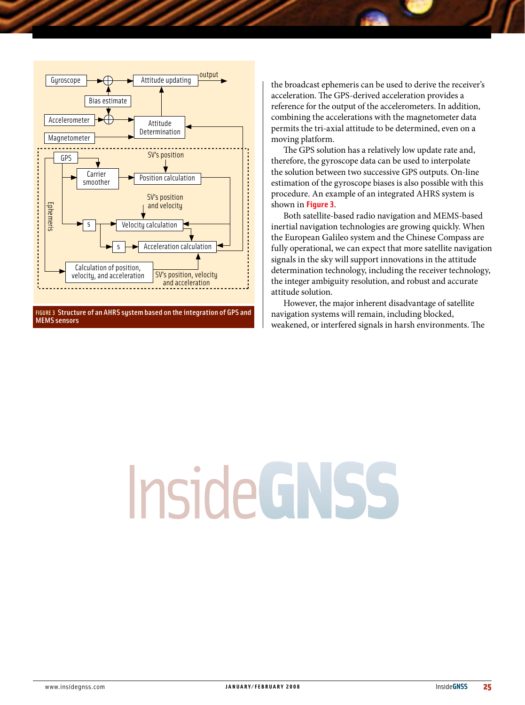

FIGURE 3 Structure of an AHRS system based on the integration of GPS and MEMS sensors

the broadcast ephemeris can be used to derive the receiver's acceleration. The GPS-derived acceleration provides a reference for the output of the accelerometers. In addition, combining the accelerations with the magnetometer data permits the tri-axial attitude to be determined, even on a moving platform.

The GPS solution has a relatively low update rate and, therefore, the gyroscope data can be used to interpolate the solution between two successive GPS outputs. On-line estimation of the gyroscope biases is also possible with this procedure. An example of an integrated AHRS system is shown in **Figure 3**.

Both satellite-based radio navigation and MEMS-based inertial navigation technologies are growing quickly. When the European Galileo system and the Chinese Compass are fully operational, we can expect that more satellite navigation signals in the sky will support innovations in the attitude determination technology, including the receiver technology, the integer ambiguity resolution, and robust and accurate attitude solution.

However, the major inherent disadvantage of satellite navigation systems will remain, including blocked, weakened, or interfered signals in harsh environments. The

# **InsideGNSS**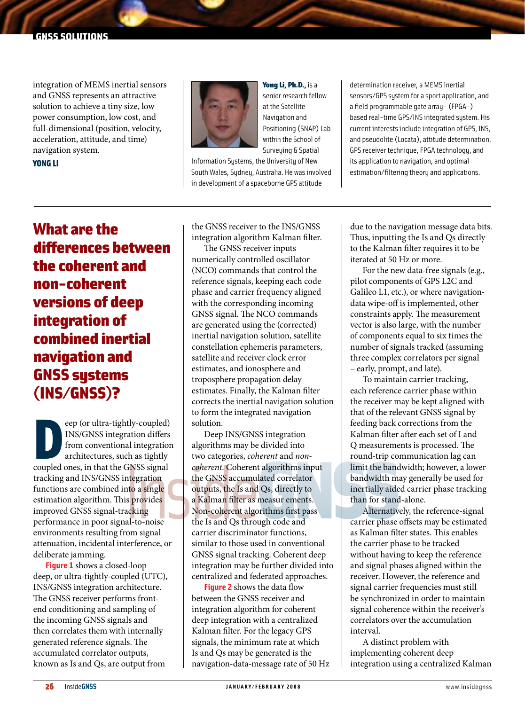integration of MEMS inertial sensors and GNSS represents an attractive solution to achieve a tiny size, low power consumption, low cost, and full-dimensional (position, velocity, acceleration, attitude, and time) navigation system.

### Yong Li



Yong Li, Ph.D., is a senior research fellow at the Satellite Navigation and Positioning (SNAP) Lab within the School of Surveying & Spatial

Information Systems, the University of New South Wales, Sydney, Australia. He was involved in development of a spaceborne GPS attitude

determination receiver, aMEMS inertial sensors/GPS system for a sport application, and a field programmable gate array– (FPGA–) based real-time GPS/INS integrated system. His current interests include integration of GPS, INS, and pseudolite (Locata), attitude determination, GPS receiver technique, FPGA technology, and its application to navigation, and optimal estimation/filtering theory and applications.

### What are the differences between the coherent and non-coherent versions of deep integration of combined inertial navigation and GNSS systems (INS/GNSS)?

eep (or ultra-tightly-coupled)<br>
INS/GNSS integration differs<br>
from conventional integration<br>
architectures, such as tightly<br>
coupled ones, in that the GNSS signal eep (or ultra-tightly-coupled) INS/GNSS integration differs from conventional integration architectures, such as tightly tracking and INS/GNSS integration functions are combined into a single estimation algorithm. This provides improved GNSS signal-tracking performance in poor signal-to-noise environments resulting from signal attenuation, incidental interference, or deliberate jamming.

**Figure 1** shows a closed-loop deep, or ultra-tightly-coupled (UTC), INS/GNSS integration architecture. The GNSS receiver performs frontend conditioning and sampling of the incoming GNSS signals and then correlates them with internally generated reference signals. The accumulated correlator outputs, known as Is and Qs, are output from

the GNSS receiver to the INS/GNSS integration algorithm Kalman filter.

The GNSS receiver inputs numerically controlled oscillator (NCO) commands that control the reference signals, keeping each code phase and carrier frequency aligned with the corresponding incoming GNSS signal. The NCO commands are generated using the (corrected) inertial navigation solution, satellite constellation ephemeris parameters, satellite and receiver clock error estimates, and ionosphere and troposphere propagation delay estimates. Finally, the Kalman filter corrects the inertial navigation solution to form the integrated navigation solution.

Deep INS/GNSS integration algorithms may be divided into two categories, *coherent* and *noncoherent*. Coherent algorithms input the GNSS accumulated correlator outputs, the Is and Qs, directly to a Kalman filter as measur ements. Non-coherent algorithms first pass the Is and Qs through code and carrier discriminator functions, similar to those used in conventional GNSS signal tracking. Coherent deep integration may be further divided into centralized and federated approaches.

**Figure 2** shows the data flow between the GNSS receiver and integration algorithm for coherent deep integration with a centralized Kalman filter. For the legacy GPS signals, the minimum rate at which Is and Qs may be generated is the navigation-data-message rate of 50 Hz due to the navigation message data bits. Thus, inputting the Is and Qs directly to the Kalman filter requires it to be iterated at 50 Hz or more.

For the new data-free signals (e.g., pilot components of GPS L2C and Galileo L1, etc.), or where navigationdata wipe-off is implemented, other constraints apply. The measurement vector is also large, with the number of components equal to six times the number of signals tracked (assuming three complex correlators per signal – early, prompt, and late).

To maintain carrier tracking, each reference carrier phase within the receiver may be kept aligned with that of the relevant GNSS signal by feeding back corrections from the Kalman filter after each set of I and Q measurements is processed. The round-trip communication lag can limit the bandwidth; however, a lower bandwidth may generally be used for inertially aided carrier phase tracking than for stand-alone.

Alternatively, the reference-signal carrier phase offsets may be estimated as Kalman filter states. This enables the carrier phase to be tracked without having to keep the reference and signal phases aligned within the receiver. However, the reference and signal carrier frequencies must still be synchronized in order to maintain signal coherence within the receiver's correlators over the accumulation interval.

A distinct problem with implementing coherent deep integration using a centralized Kalman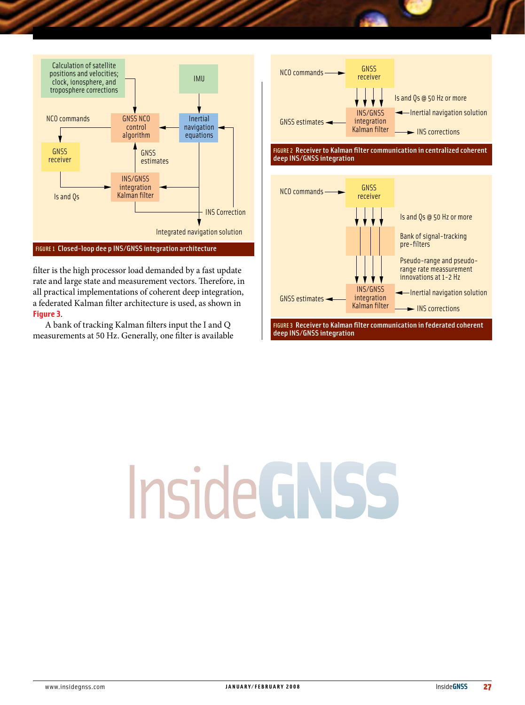

#### FIGURE 1 Closed-loop dee p INS/GNSS integration architecture

filter is the high processor load demanded by a fast update rate and large state and measurement vectors. Therefore, in all practical implementations of coherent deep integration, a federated Kalman filter architecture is used, as shown in **Figure 3**.

A bank of tracking Kalman filters input the I and Q measurements at 50 Hz. Generally, one filter is available



FIGURE 2 Receiver to Kalman filter communication in centralized coherent deep INS/GNSS integration



# InsideGNSS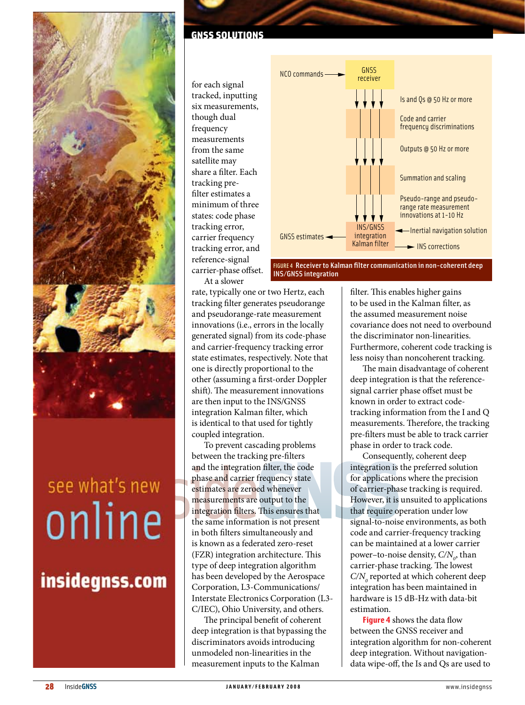

# see what's new online

### insidegnss.com

### GNSS SOLUTIONS

for each signal tracked, inputting six measurements, though dual frequency measurements from the same satellite may share a filter. Each tracking prefilter estimates a minimum of three states: code phase tracking error, carrier frequency tracking error, and reference-signal carrier-phase offset. At a slower



FIGURE 4 Receiver to Kalman filter communication in non-coherent deep INS/GNSS integration

rate, typically one or two Hertz, each tracking filter generates pseudorange and pseudorange-rate measurement innovations (i.e., errors in the locally generated signal) from its code-phase and carrier-frequency tracking error state estimates, respectively. Note that one is directly proportional to the other (assuming a first-order Doppler shift). The measurement innovations are then input to the INS/GNSS integration Kalman filter, which is identical to that used for tightly coupled integration.

To prevent cascading problems between the tracking pre-filters and the integration filter, the code phase and carrier frequency state estimates are zeroed whenever measurements are output to the integration filters. This ensures that the same information is not present in both filters simultaneously and is known as a federated zero-reset (FZR) integration architecture. This type of deep integration algorithm has been developed by the Aerospace Corporation, L3-Communications/ Interstate Electronics Corporation (L3- C/IEC), Ohio University, and others.

The principal benefit of coherent deep integration is that bypassing the discriminators avoids introducing unmodeled non-linearities in the measurement inputs to the Kalman

filter. This enables higher gains to be used in the Kalman filter, as the assumed measurement noise covariance does not need to overbound the discriminator non-linearities. Furthermore, coherent code tracking is less noisy than noncoherent tracking.

The main disadvantage of coherent deep integration is that the referencesignal carrier phase offset must be known in order to extract codetracking information from the I and Q measurements. Therefore, the tracking pre-filters must be able to track carrier phase in order to track code.

Consequently, coherent deep integration is the preferred solution for applications where the precision of carrier-phase tracking is required. However, it is unsuited to applications that require operation under low signal-to-noise environments, as both code and carrier-frequency tracking can be maintained at a lower carrier power–to-noise density,  $C/N$ <sub>0</sub>, than carrier-phase tracking. The lowest  $C/N$ <sub>0</sub> reported at which coherent deep integration has been maintained in hardware is 15 dB-Hz with data-bit estimation. **Figure 4** shows the data flow

between the GNSS receiver and integration algorithm for non-coherent deep integration. Without navigationdata wipe-off, the Is and Qs are used to